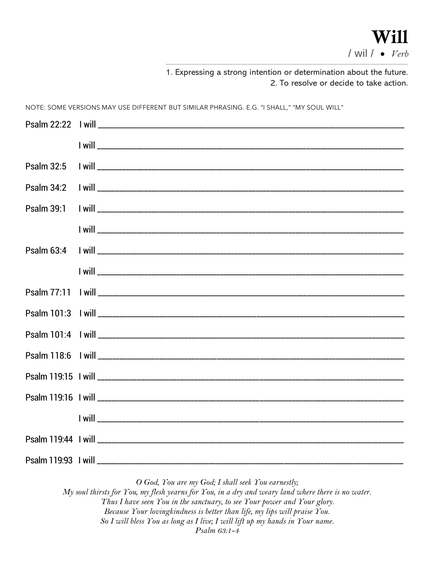1. Expressing a strong intention or determination about the future. 2. To resolve or decide to take action.

NOTE: SOME VERSIONS MAY USE DIFFERENT BUT SIMILAR PHRASING. E.G. "I SHALL," "MY SOUL WILL"

O God, You are my God; I shall seek You earnestly;

My soul thirsts for You, my flesh yearns for You, in a dry and weary land where there is no water. Thus I have seen You in the sanctuary, to see Your power and Your glory. Because Your lovingkindness is better than life, my lips will praise You. So I will bless You as long as I live; I will lift up my hands in Your name. Psalm 63:1-4